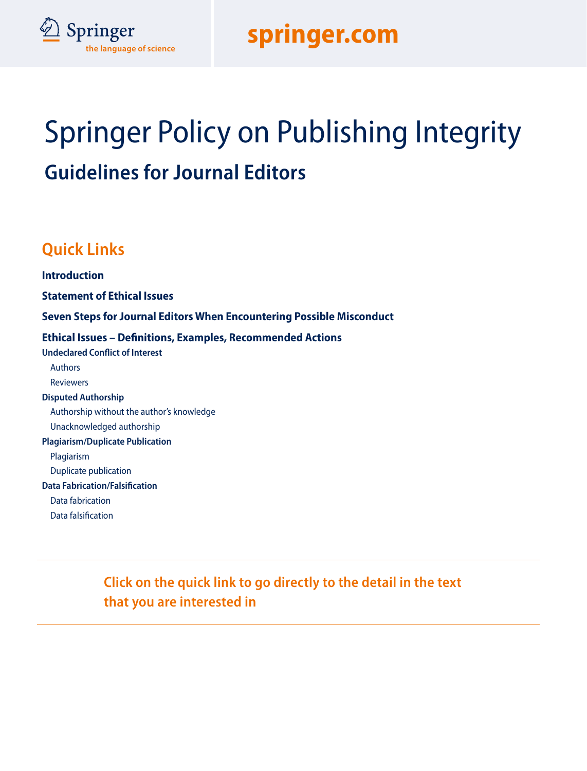



# Springer Policy on Publishing Integrity **Guidelines for Journal Editors**

### **Quick Links**

**Introduction Statement of Ethical Issues Seven Steps for Journal Editors When Encountering Possible Misconduct Ethical Issues – Definitions, Examples, Recommended Actions Undeclared Conflict of Interest**  Authors Reviewers **Disputed Authorship**  Authorship without the author's knowledge Unacknowledged authorship **Plagiarism/Duplicate Publication**  Plagiarism Duplicate publication **Data Fabrication/Falsification**  Data fabrication Data falsification

> **Click on the quick link to go directly to the detail in the text that you are interested in**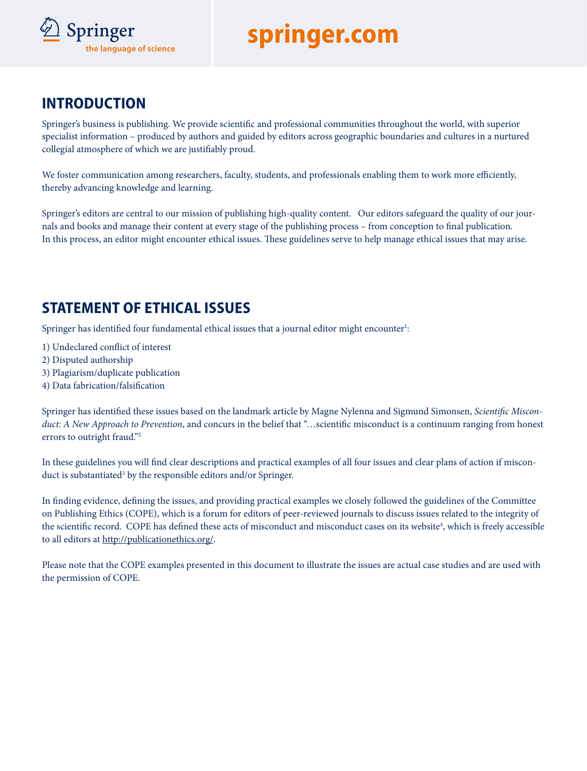

### **INTRODUCTION**

Springer's business is publishing. We provide scientific and professional communities throughout the world, with superior specialist information – produced by authors and guided by editors across geographic boundaries and cultures in a nurtured collegial atmosphere of which we are justifiably proud.

We foster communication among researchers, faculty, students, and professionals enabling them to work more efficiently, thereby advancing knowledge and learning.

Springer's editors are central to our mission of publishing high-quality content. Our editors safeguard the quality of our journals and books and manage their content at every stage of the publishing process – from conception to final publication. In this process, an editor might encounter ethical issues. These guidelines serve to help manage ethical issues that may arise.

### **STATEMENT OF ETHICAL ISSUES**

Springer has identified four fundamental ethical issues that a journal editor might encounter<sup>1</sup>:

- 1) Undeclared conflict of interest
- 2) Disputed authorship
- 3) Plagiarism/duplicate publication
- 4) Data fabrication/falsification

Springer has identified these issues based on the landmark article by Magne Nylenna and Sigmund Simonsen, *Scientific Misconduct: A New Approach to Prevention*, and concurs in the belief that "…scientific misconduct is a continuum ranging from honest errors to outright fraud."2

In these guidelines you will find clear descriptions and practical examples of all four issues and clear plans of action if misconduct is substantiated<sup>3</sup> by the responsible editors and/or Springer.

In finding evidence, defining the issues, and providing practical examples we closely followed the guidelines of the Committee on Publishing Ethics (COPE), which is a forum for editors of peer-reviewed journals to discuss issues related to the integrity of the scientific record. COPE has defined these acts of misconduct and misconduct cases on its website<sup>4</sup>, which is freely accessible to all editors at http://publicationethics.org/.

Please note that the COPE examples presented in this document to illustrate the issues are actual case studies and are used with the permission of COPE.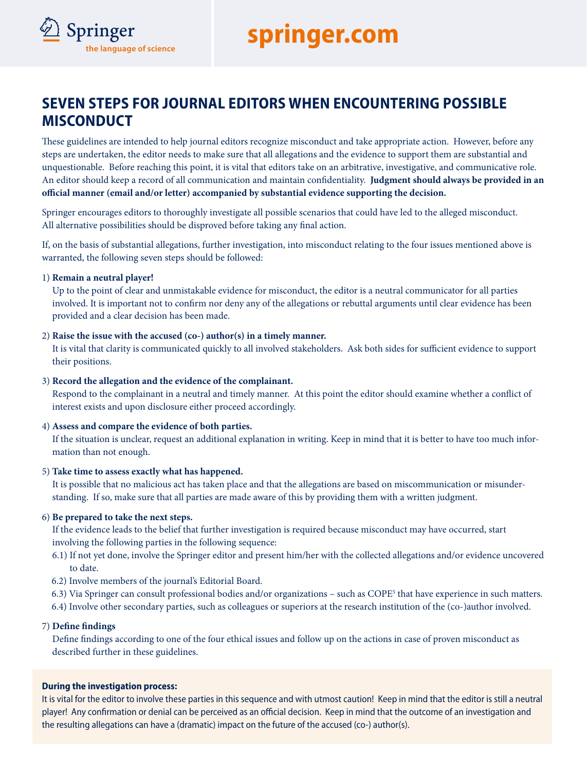

These guidelines are intended to help journal editors recognize misconduct and take appropriate action. However, before any steps are undertaken, the editor needs to make sure that all allegations and the evidence to support them are substantial and unquestionable. Before reaching this point, it is vital that editors take on an arbitrative, investigative, and communicative role. An editor should keep a record of all communication and maintain confidentiality. **Judgment should always be provided in an official manner (email and/or letter) accompanied by substantial evidence supporting the decision.**

Springer encourages editors to thoroughly investigate all possible scenarios that could have led to the alleged misconduct. All alternative possibilities should be disproved before taking any final action.

If, on the basis of substantial allegations, further investigation, into misconduct relating to the four issues mentioned above is warranted, the following seven steps should be followed:

#### 1) **Remain a neutral player!**

**Springer**<br>the language of science

Up to the point of clear and unmistakable evidence for misconduct, the editor is a neutral communicator for all parties involved. It is important not to confirm nor deny any of the allegations or rebuttal arguments until clear evidence has been provided and a clear decision has been made.

#### 2) **Raise the issue with the accused (co-) author(s) in a timely manner.**

It is vital that clarity is communicated quickly to all involved stakeholders. Ask both sides for sufficient evidence to support their positions.

#### 3) **Record the allegation and the evidence of the complainant.**

Respond to the complainant in a neutral and timely manner. At this point the editor should examine whether a conflict of interest exists and upon disclosure either proceed accordingly.

#### 4) **Assess and compare the evidence of both parties.**

If the situation is unclear, request an additional explanation in writing. Keep in mind that it is better to have too much information than not enough.

#### 5) **Take time to assess exactly what has happened.**

It is possible that no malicious act has taken place and that the allegations are based on miscommunication or misunderstanding. If so, make sure that all parties are made aware of this by providing them with a written judgment.

#### 6) **Be prepared to take the next steps.**

If the evidence leads to the belief that further investigation is required because misconduct may have occurred, start involving the following parties in the following sequence:

- 6.1) If not yet done, involve the Springer editor and present him/her with the collected allegations and/or evidence uncovered to date.
- 6.2) Involve members of the journal's Editorial Board.
- 6.3) Via Springer can consult professional bodies and/or organizations such as COPE<sup>5</sup> that have experience in such matters.
- 6.4) Involve other secondary parties, such as colleagues or superiors at the research institution of the (co-)author involved.

#### 7) **Define findings**

Define findings according to one of the four ethical issues and follow up on the actions in case of proven misconduct as described further in these guidelines.

#### **During the investigation process:**

It is vital for the editor to involve these parties in this sequence and with utmost caution! Keep in mind that the editor is still a neutral player! Any confirmation or denial can be perceived as an official decision. Keep in mind that the outcome of an investigation and the resulting allegations can have a (dramatic) impact on the future of the accused (co-) author(s).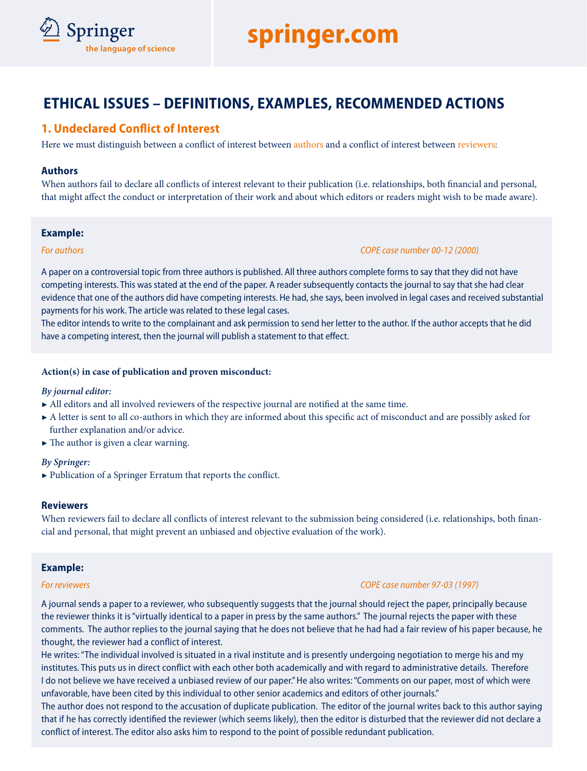

### **ETHICAL ISSUES – DEFINITIONS, EXAMPLES, RECOMMENDED ACTIONS**

#### **1. Undeclared Conflict of Interest**

Here we must distinguish between a conflict of interest between authors and a conflict of interest between reviewers:

#### **Authors**

When authors fail to declare all conflicts of interest relevant to their publication (i.e. relationships, both financial and personal, that might affect the conduct or interpretation of their work and about which editors or readers might wish to be made aware).

#### **Example:**

*For authors COPE case number 00-12 (2000)* 

A paper on a controversial topic from three authors is published. All three authors complete forms to say that they did not have competing interests. This was stated at the end of the paper. A reader subsequently contacts the journal to say that she had clear evidence that one of the authors did have competing interests. He had, she says, been involved in legal cases and received substantial payments for his work. The article was related to these legal cases.

The editor intends to write to the complainant and ask permission to send her letter to the author. If the author accepts that he did have a competing interest, then the journal will publish a statement to that effect.

#### **Action(s) in case of publication and proven misconduct:**

#### *By journal editor:*

- 7 All editors and all involved reviewers of the respective journal are notified at the same time.
- A letter is sent to all co-authors in which they are informed about this specific act of misconduct and are possibly asked for further explanation and/or advice.
- $\blacktriangleright$  The author is given a clear warning.

#### *By Springer:*

 $\blacktriangleright$  Publication of a Springer Erratum that reports the conflict.

#### **Reviewers**

When reviewers fail to declare all conflicts of interest relevant to the submission being considered (i.e. relationships, both financial and personal, that might prevent an unbiased and objective evaluation of the work).

#### **Example:**

#### *For reviewers COPE case number 97-03 (1997)*

A journal sends a paper to a reviewer, who subsequently suggests that the journal should reject the paper, principally because the reviewer thinks it is "virtually identical to a paper in press by the same authors." The journal rejects the paper with these comments. The author replies to the journal saying that he does not believe that he had had a fair review of his paper because, he thought, the reviewer had a conflict of interest.

He writes: "The individual involved is situated in a rival institute and is presently undergoing negotiation to merge his and my institutes. This puts us in direct conflict with each other both academically and with regard to administrative details. Therefore I do not believe we have received a unbiased review of our paper." He also writes: "Comments on our paper, most of which were unfavorable, have been cited by this individual to other senior academics and editors of other journals."

The author does not respond to the accusation of duplicate publication. The editor of the journal writes back to this author saying that if he has correctly identified the reviewer (which seems likely), then the editor is disturbed that the reviewer did not declare a conflict of interest. The editor also asks him to respond to the point of possible redundant publication.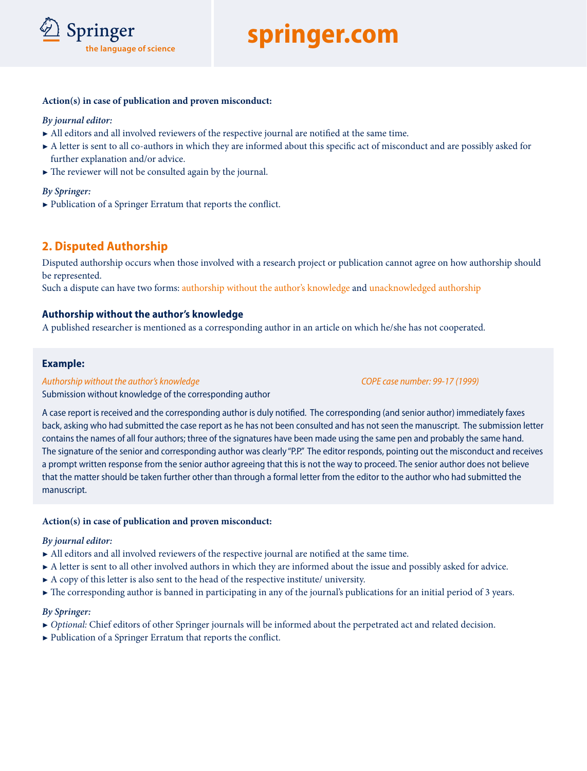

#### **Action(s) in case of publication and proven misconduct:**

#### *By journal editor:*

- 7 All editors and all involved reviewers of the respective journal are notified at the same time.
- A letter is sent to all co-authors in which they are informed about this specific act of misconduct and are possibly asked for further explanation and/or advice.
- $\blacktriangleright$  The reviewer will not be consulted again by the journal.

#### *By Springer:*

7 Publication of a Springer Erratum that reports the conflict.

#### **2. Disputed Authorship**

Disputed authorship occurs when those involved with a research project or publication cannot agree on how authorship should be represented.

Such a dispute can have two forms: authorship without the author's knowledge and unacknowledged authorship

#### **Authorship without the author's knowledge**

A published researcher is mentioned as a corresponding author in an article on which he/she has not cooperated.

#### **Example:**

#### *Authorship without the author's knowledge COPE case number: 99-17 (1999)*

Submission without knowledge of the corresponding author

A case report is received and the corresponding author is duly notified. The corresponding (and senior author) immediately faxes back, asking who had submitted the case report as he has not been consulted and has not seen the manuscript. The submission letter contains the names of all four authors; three of the signatures have been made using the same pen and probably the same hand. The signature of the senior and corresponding author was clearly "P.P." The editor responds, pointing out the misconduct and receives a prompt written response from the senior author agreeing that this is not the way to proceed. The senior author does not believe that the matter should be taken further other than through a formal letter from the editor to the author who had submitted the manuscript.

#### **Action(s) in case of publication and proven misconduct:**

#### *By journal editor:*

- $\blacktriangleright$  All editors and all involved reviewers of the respective journal are notified at the same time.
- A letter is sent to all other involved authors in which they are informed about the issue and possibly asked for advice.
- $\blacktriangleright$  A copy of this letter is also sent to the head of the respective institute/ university.
- 7 The corresponding author is banned in participating in any of the journal's publications for an initial period of 3 years.

#### *By Springer:*

- 7 *Optional:* Chief editors of other Springer journals will be informed about the perpetrated act and related decision.
- 7 Publication of a Springer Erratum that reports the conflict.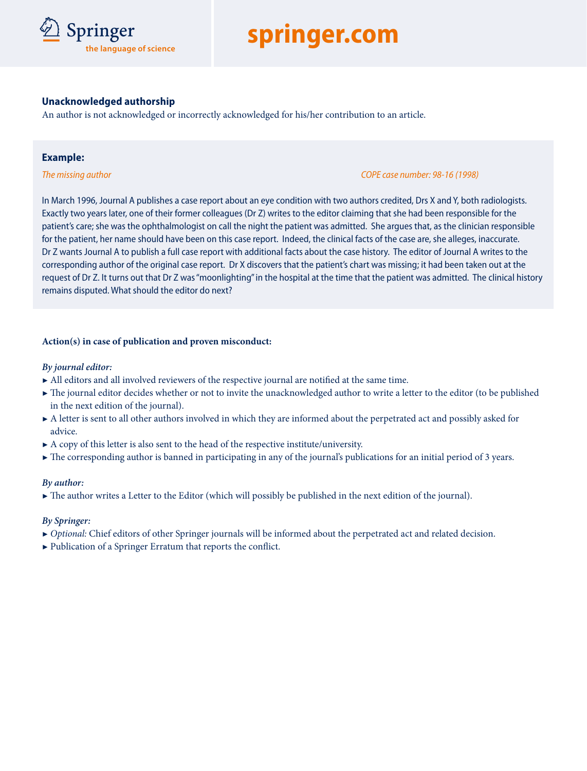# **Springer**<br>the language of science

## D **springer.com**

#### **Unacknowledged authorship**

An author is not acknowledged or incorrectly acknowledged for his/her contribution to an article.

#### **Example:**

#### *The missing author COPE case number: 98-16 (1998)*

In March 1996, Journal A publishes a case report about an eye condition with two authors credited, Drs X and Y, both radiologists. Exactly two years later, one of their former colleagues (Dr Z) writes to the editor claiming that she had been responsible for the patient's care; she was the ophthalmologist on call the night the patient was admitted. She argues that, as the clinician responsible for the patient, her name should have been on this case report. Indeed, the clinical facts of the case are, she alleges, inaccurate. Dr Z wants Journal A to publish a full case report with additional facts about the case history. The editor of Journal A writes to the corresponding author of the original case report. Dr X discovers that the patient's chart was missing; it had been taken out at the request of Dr Z. It turns out that Dr Z was "moonlighting" in the hospital at the time that the patient was admitted. The clinical history remains disputed. What should the editor do next?

#### **Action(s) in case of publication and proven misconduct:**

#### *By journal editor:*

- $\blacktriangleright$  All editors and all involved reviewers of the respective journal are notified at the same time.
- 7 The journal editor decides whether or not to invite the unacknowledged author to write a letter to the editor (to be published in the next edition of the journal).
- A letter is sent to all other authors involved in which they are informed about the perpetrated act and possibly asked for advice.
- $\blacktriangleright$  A copy of this letter is also sent to the head of the respective institute/university.
- $\blacktriangleright$  The corresponding author is banned in participating in any of the journal's publications for an initial period of 3 years.

#### *By author:*

 $\blacktriangleright$  The author writes a Letter to the Editor (which will possibly be published in the next edition of the journal).

#### *By Springer:*

- 7 *Optional:* Chief editors of other Springer journals will be informed about the perpetrated act and related decision.
- 7 Publication of a Springer Erratum that reports the conflict.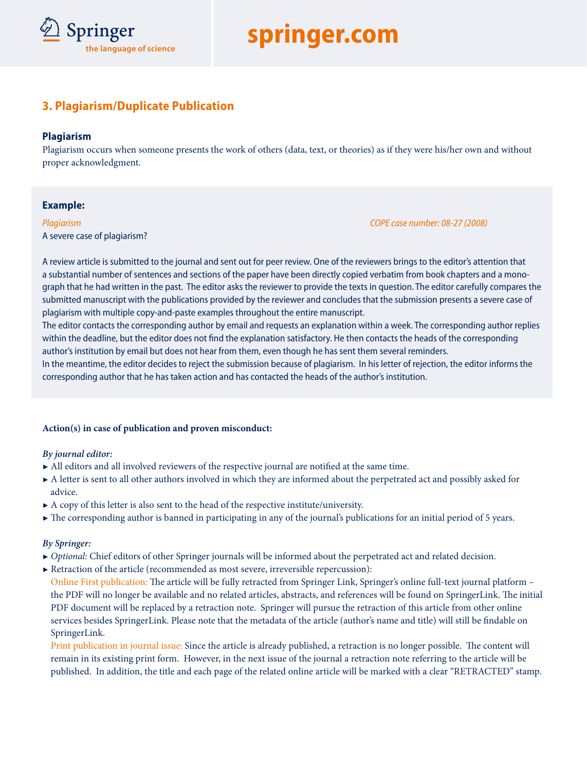

### **3. Plagiarism/Duplicate Publication**

#### **Plagiarism**

Plagiarism occurs when someone presents the work of others (data, text, or theories) as if they were his/her own and without proper acknowledgment.

#### **Example:**

A severe case of plagiarism?

*Plagiarism COPE case number: 08-27 (2008)* 

A review article is submitted to the journal and sent out for peer review. One of the reviewers brings to the editor's attention that a substantial number of sentences and sections of the paper have been directly copied verbatim from book chapters and a monograph that he had written in the past. The editor asks the reviewer to provide the texts in question. The editor carefully compares the submitted manuscript with the publications provided by the reviewer and concludes that the submission presents a severe case of plagiarism with multiple copy-and-paste examples throughout the entire manuscript.

The editor contacts the corresponding author by email and requests an explanation within a week. The corresponding author replies within the deadline, but the editor does not find the explanation satisfactory. He then contacts the heads of the corresponding author's institution by email but does not hear from them, even though he has sent them several reminders.

In the meantime, the editor decides to reject the submission because of plagiarism. In his letter of rejection, the editor informs the corresponding author that he has taken action and has contacted the heads of the author's institution.

#### **Action(s) in case of publication and proven misconduct:**

#### *By journal editor:*

- 7 All editors and all involved reviewers of the respective journal are notified at the same time.
- A letter is sent to all other authors involved in which they are informed about the perpetrated act and possibly asked for advice.
- $\blacktriangleright$  A copy of this letter is also sent to the head of the respective institute/university.
- $\blacktriangleright$  The corresponding author is banned in participating in any of the journal's publications for an initial period of 5 years.

#### *By Springer:*

- 7 *Optional:* Chief editors of other Springer journals will be informed about the perpetrated act and related decision.
- $\blacktriangleright$  Retraction of the article (recommended as most severe, irreversible repercussion):

Online First publication: The article will be fully retracted from Springer Link, Springer's online full-text journal platform – the PDF will no longer be available and no related articles, abstracts, and references will be found on SpringerLink. The initial PDF document will be replaced by a retraction note. Springer will pursue the retraction of this article from other online services besides SpringerLink. Please note that the metadata of the article (author's name and title) will still be findable on SpringerLink.

Print publication in journal issue: Since the article is already published, a retraction is no longer possible. The content will remain in its existing print form. However, in the next issue of the journal a retraction note referring to the article will be published. In addition, the title and each page of the related online article will be marked with a clear "RETRACTED" stamp.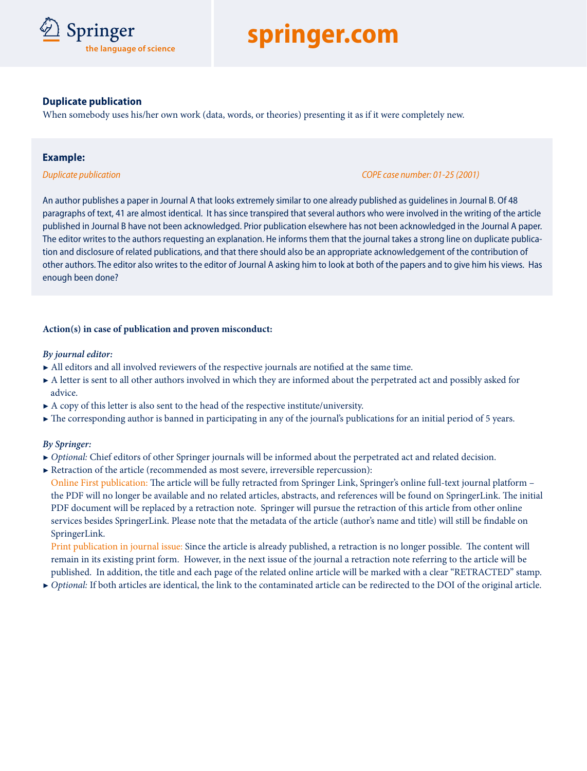

#### **Duplicate publication**

When somebody uses his/her own work (data, words, or theories) presenting it as if it were completely new.

#### **Example:**

#### *Duplicate publication COPE case number: 01-25 (2001)*

An author publishes a paper in Journal A that looks extremely similar to one already published as guidelines in Journal B. Of 48 paragraphs of text, 41 are almost identical. It has since transpired that several authors who were involved in the writing of the article published in Journal B have not been acknowledged. Prior publication elsewhere has not been acknowledged in the Journal A paper. The editor writes to the authors requesting an explanation. He informs them that the journal takes a strong line on duplicate publication and disclosure of related publications, and that there should also be an appropriate acknowledgement of the contribution of other authors. The editor also writes to the editor of Journal A asking him to look at both of the papers and to give him his views. Has enough been done?

#### **Action(s) in case of publication and proven misconduct:**

#### *By journal editor:*

- 7 All editors and all involved reviewers of the respective journals are notified at the same time.
- A letter is sent to all other authors involved in which they are informed about the perpetrated act and possibly asked for advice.
- $\blacktriangleright$  A copy of this letter is also sent to the head of the respective institute/university.
- $\blacktriangleright$  The corresponding author is banned in participating in any of the journal's publications for an initial period of 5 years.

#### *By Springer:*

- 7 *Optional:* Chief editors of other Springer journals will be informed about the perpetrated act and related decision.
- ▶ Retraction of the article (recommended as most severe, irreversible repercussion):

Online First publication: The article will be fully retracted from Springer Link, Springer's online full-text journal platform – the PDF will no longer be available and no related articles, abstracts, and references will be found on SpringerLink. The initial PDF document will be replaced by a retraction note. Springer will pursue the retraction of this article from other online services besides SpringerLink. Please note that the metadata of the article (author's name and title) will still be findable on SpringerLink.

Print publication in journal issue: Since the article is already published, a retraction is no longer possible. The content will remain in its existing print form. However, in the next issue of the journal a retraction note referring to the article will be published. In addition, the title and each page of the related online article will be marked with a clear "RETRACTED" stamp.

7 *Optional:* If both articles are identical, the link to the contaminated article can be redirected to the DOI of the original article.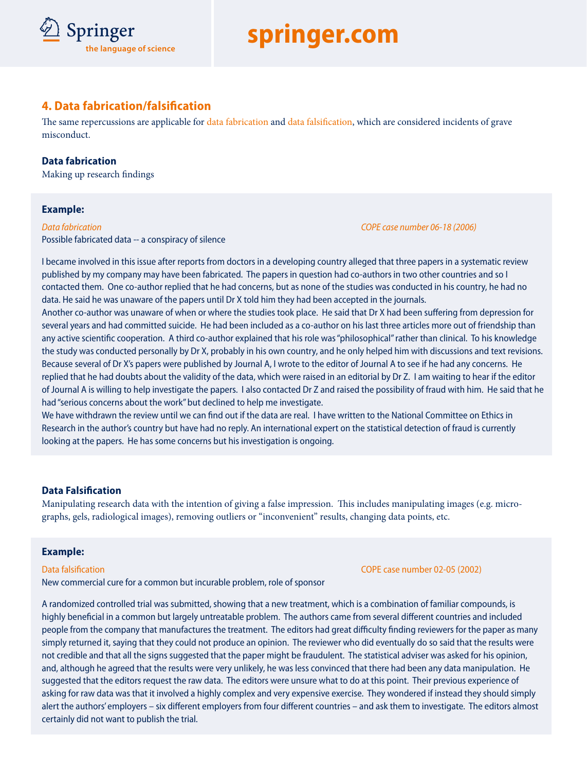# **Springer**<br>the language of science

## D **springer.com**

### **4. Data fabrication/falsification**

The same repercussions are applicable for data fabrication and data falsification, which are considered incidents of grave misconduct.

#### **Data fabrication**

Making up research findings

#### **Example:**

Possible fabricated data -- a conspiracy of silence

*Data fabrication COPE case number 06-18 (2006)* 

I became involved in this issue after reports from doctors in a developing country alleged that three papers in a systematic review published by my company may have been fabricated. The papers in question had co-authors in two other countries and so I contacted them. One co-author replied that he had concerns, but as none of the studies was conducted in his country, he had no data. He said he was unaware of the papers until Dr X told him they had been accepted in the journals.

Another co-author was unaware of when or where the studies took place. He said that Dr X had been suffering from depression for several years and had committed suicide. He had been included as a co-author on his last three articles more out of friendship than any active scientific cooperation. A third co-author explained that his role was "philosophical" rather than clinical. To his knowledge the study was conducted personally by Dr X, probably in his own country, and he only helped him with discussions and text revisions. Because several of Dr X's papers were published by Journal A, I wrote to the editor of Journal A to see if he had any concerns. He replied that he had doubts about the validity of the data, which were raised in an editorial by Dr Z. I am waiting to hear if the editor of Journal A is willing to help investigate the papers. I also contacted Dr Z and raised the possibility of fraud with him. He said that he had "serious concerns about the work" but declined to help me investigate.

We have withdrawn the review until we can find out if the data are real. I have written to the National Committee on Ethics in Research in the author's country but have had no reply. An international expert on the statistical detection of fraud is currently looking at the papers. He has some concerns but his investigation is ongoing.

#### **Data Falsification**

Manipulating research data with the intention of giving a false impression. This includes manipulating images (e.g. micrographs, gels, radiological images), removing outliers or "inconvenient" results, changing data points, etc.

#### **Example:**

New commercial cure for a common but incurable problem, role of sponsor

A randomized controlled trial was submitted, showing that a new treatment, which is a combination of familiar compounds, is highly beneficial in a common but largely untreatable problem. The authors came from several different countries and included people from the company that manufactures the treatment. The editors had great difficulty finding reviewers for the paper as many simply returned it, saying that they could not produce an opinion. The reviewer who did eventually do so said that the results were not credible and that all the signs suggested that the paper might be fraudulent. The statistical adviser was asked for his opinion, and, although he agreed that the results were very unlikely, he was less convinced that there had been any data manipulation. He suggested that the editors request the raw data. The editors were unsure what to do at this point. Their previous experience of asking for raw data was that it involved a highly complex and very expensive exercise. They wondered if instead they should simply alert the authors' employers – six different employers from four different countries – and ask them to investigate. The editors almost certainly did not want to publish the trial.

Data falsification COPE case number 02-05 (2002)